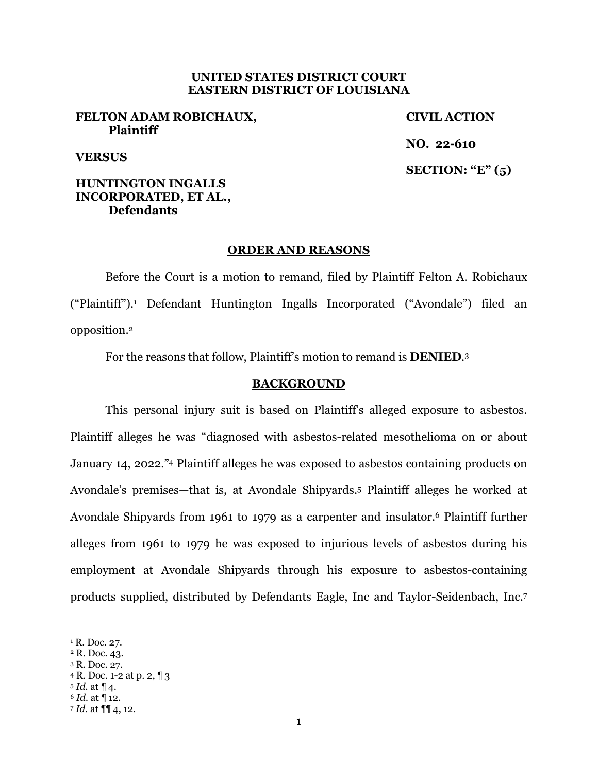## **UNITED STATES DISTRICT COURT EASTERN DISTRICT OF LOUISIANA**

### **FELTON ADAM ROBICHAUX, Plaintiff**

**CIVIL ACTION NO. 22-610 SECTION: "E" (5)** 

# **VERSUS**

# **HUNTINGTON INGALLS INCORPORATED, ET AL., Defendants**

#### **ORDER AND REASONS**

Before the Court is a motion to remand, filed by Plaintiff Felton A. Robichaux ("Plaintiff").1 Defendant Huntington Ingalls Incorporated ("Avondale") filed an opposition.2

For the reasons that follow, Plaintiff's motion to remand is **DENIED**.3

#### **BACKGROUND**

 This personal injury suit is based on Plaintiff's alleged exposure to asbestos. Plaintiff alleges he was "diagnosed with asbestos-related mesothelioma on or about January 14, 2022."4 Plaintiff alleges he was exposed to asbestos containing products on Avondale's premises—that is, at Avondale Shipyards.5 Plaintiff alleges he worked at Avondale Shipyards from 1961 to 1979 as a carpenter and insulator.6 Plaintiff further alleges from 1961 to 1979 he was exposed to injurious levels of asbestos during his employment at Avondale Shipyards through his exposure to asbestos-containing products supplied, distributed by Defendants Eagle, Inc and Taylor-Seidenbach, Inc.7

<sup>&</sup>lt;sup>1</sup> R. Doc. 27.

<sup>2</sup> R. Doc. 43.

<sup>3</sup> R. Doc. 27.

<sup>4</sup> R. Doc. 1-2 at p. 2, ¶ 3

<sup>5</sup> *Id.* at ¶ 4. <sup>6</sup> *Id.* at ¶ 12.

<sup>7</sup> *Id.* at ¶¶ 4, 12.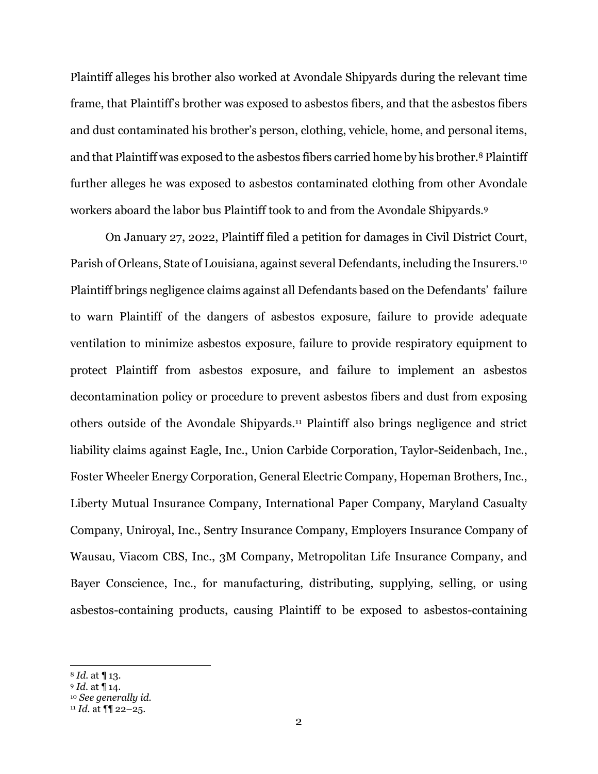Plaintiff alleges his brother also worked at Avondale Shipyards during the relevant time frame, that Plaintiff's brother was exposed to asbestos fibers, and that the asbestos fibers and dust contaminated his brother's person, clothing, vehicle, home, and personal items, and that Plaintiff was exposed to the asbestos fibers carried home by his brother.8 Plaintiff further alleges he was exposed to asbestos contaminated clothing from other Avondale workers aboard the labor bus Plaintiff took to and from the Avondale Shipyards.9

On January 27, 2022, Plaintiff filed a petition for damages in Civil District Court, Parish of Orleans, State of Louisiana, against several Defendants, including the Insurers.10 Plaintiff brings negligence claims against all Defendants based on the Defendants' failure to warn Plaintiff of the dangers of asbestos exposure, failure to provide adequate ventilation to minimize asbestos exposure, failure to provide respiratory equipment to protect Plaintiff from asbestos exposure, and failure to implement an asbestos decontamination policy or procedure to prevent asbestos fibers and dust from exposing others outside of the Avondale Shipyards.11 Plaintiff also brings negligence and strict liability claims against Eagle, Inc., Union Carbide Corporation, Taylor-Seidenbach, Inc., Foster Wheeler Energy Corporation, General Electric Company, Hopeman Brothers, Inc., Liberty Mutual Insurance Company, International Paper Company, Maryland Casualty Company, Uniroyal, Inc., Sentry Insurance Company, Employers Insurance Company of Wausau, Viacom CBS, Inc., 3M Company, Metropolitan Life Insurance Company, and Bayer Conscience, Inc., for manufacturing, distributing, supplying, selling, or using asbestos-containing products, causing Plaintiff to be exposed to asbestos-containing

<sup>8</sup> *Id.* at ¶ 13.

<sup>9</sup> *Id.* at ¶ 14. 10 *See generally id.*

<sup>11</sup> *Id.* at ¶¶ 22–25.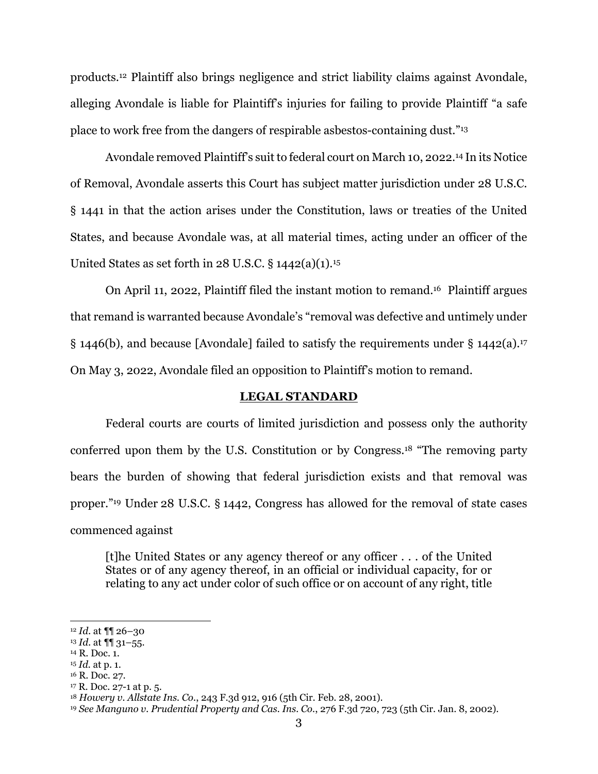products.12 Plaintiff also brings negligence and strict liability claims against Avondale, alleging Avondale is liable for Plaintiff's injuries for failing to provide Plaintiff "a safe place to work free from the dangers of respirable asbestos-containing dust."13

Avondale removed Plaintiff's suit to federal court on March 10, 2022.14 In its Notice of Removal, Avondale asserts this Court has subject matter jurisdiction under 28 U.S.C. § 1441 in that the action arises under the Constitution, laws or treaties of the United States, and because Avondale was, at all material times, acting under an officer of the United States as set forth in 28 U.S.C.  $\S$  1442(a)(1).<sup>15</sup>

On April 11, 2022, Plaintiff filed the instant motion to remand.16 Plaintiff argues that remand is warranted because Avondale's "removal was defective and untimely under § 1446(b), and because [Avondale] failed to satisfy the requirements under § 1442(a).17 On May 3, 2022, Avondale filed an opposition to Plaintiff's motion to remand.

#### **LEGAL STANDARD**

Federal courts are courts of limited jurisdiction and possess only the authority conferred upon them by the U.S. Constitution or by Congress.18 "The removing party bears the burden of showing that federal jurisdiction exists and that removal was proper."19 Under 28 U.S.C. § 1442, Congress has allowed for the removal of state cases commenced against

[t]he United States or any agency thereof or any officer . . . of the United States or of any agency thereof, in an official or individual capacity, for or relating to any act under color of such office or on account of any right, title

17 R. Doc. 27-1 at p. 5.

<sup>12</sup> *Id.* at ¶¶ 26–30

<sup>13</sup> *Id.* at ¶¶ 31–55.

<sup>14</sup> R. Doc. 1.

<sup>15</sup> *Id.* at p. 1.

<sup>16</sup> R. Doc. 27.

<sup>18</sup> *Howery v. Allstate Ins. Co.*, 243 F.3d 912, 916 (5th Cir. Feb. 28, 2001).

<sup>19</sup> *See Manguno v. Prudential Property and Cas. Ins. Co.*, 276 F.3d 720, 723 (5th Cir. Jan. 8, 2002).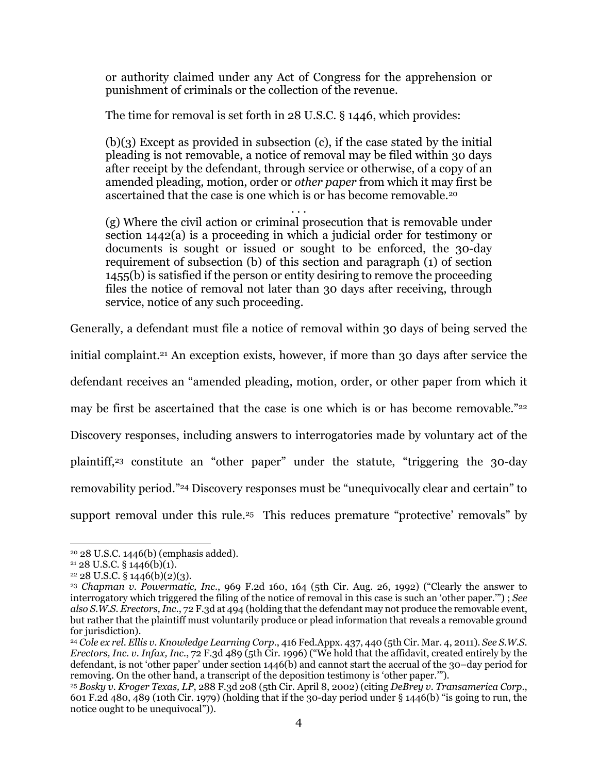or authority claimed under any Act of Congress for the apprehension or punishment of criminals or the collection of the revenue.

The time for removal is set forth in 28 U.S.C. § 1446, which provides:

 $(b)(3)$  Except as provided in subsection  $(c)$ , if the case stated by the initial pleading is not removable, a notice of removal may be filed within 30 days after receipt by the defendant, through service or otherwise, of a copy of an amended pleading, motion, order or *other paper* from which it may first be ascertained that the case is one which is or has become removable.20

. . . (g) Where the civil action or criminal prosecution that is removable under section 1442(a) is a proceeding in which a judicial order for testimony or documents is sought or issued or sought to be enforced, the 30-day requirement of subsection (b) of this section and paragraph (1) of section 1455(b) is satisfied if the person or entity desiring to remove the proceeding files the notice of removal not later than 30 days after receiving, through service, notice of any such proceeding.

Generally, a defendant must file a notice of removal within 30 days of being served the

initial complaint.21 An exception exists, however, if more than 30 days after service the

defendant receives an "amended pleading, motion, order, or other paper from which it

may be first be ascertained that the case is one which is or has become removable."<sup>22</sup>

Discovery responses, including answers to interrogatories made by voluntary act of the

plaintiff,23 constitute an "other paper" under the statute, "triggering the 30-day

removability period."24 Discovery responses must be "unequivocally clear and certain" to

support removal under this rule.<sup>25</sup> This reduces premature "protective' removals" by

<sup>20 28</sup> U.S.C. 1446(b) (emphasis added).

 $21\,28\,$  U.S.C. § 1446(b)(1).

 $22$  28 U.S.C. § 1446(b)(2)(3).

<sup>23</sup> *Chapman v. Powermatic, Inc.*, 969 F.2d 160, 164 (5th Cir. Aug. 26, 1992) ("Clearly the answer to interrogatory which triggered the filing of the notice of removal in this case is such an 'other paper.'") ; *See also S.W.S. Erectors, Inc*., 72 F.3d at 494 (holding that the defendant may not produce the removable event, but rather that the plaintiff must voluntarily produce or plead information that reveals a removable ground for jurisdiction).

<sup>24</sup> *Cole ex rel. Ellis v. Knowledge Learning Corp.*, 416 Fed.Appx. 437, 440 (5th Cir. Mar. 4, 2011). *See S.W.S. Erectors, Inc. v. Infax, Inc.*, 72 F.3d 489 (5th Cir. 1996) ("We hold that the affidavit, created entirely by the defendant, is not 'other paper' under section 1446(b) and cannot start the accrual of the 30–day period for removing. On the other hand, a transcript of the deposition testimony is 'other paper.'").

<sup>25</sup> *Bosky v. Kroger Texas, LP*, 288 F.3d 208 (5th Cir. April 8, 2002) (citing *DeBrey v. Transamerica Corp.*, 601 F.2d 480, 489 (10th Cir. 1979) (holding that if the 30-day period under § 1446(b) "is going to run, the notice ought to be unequivocal")).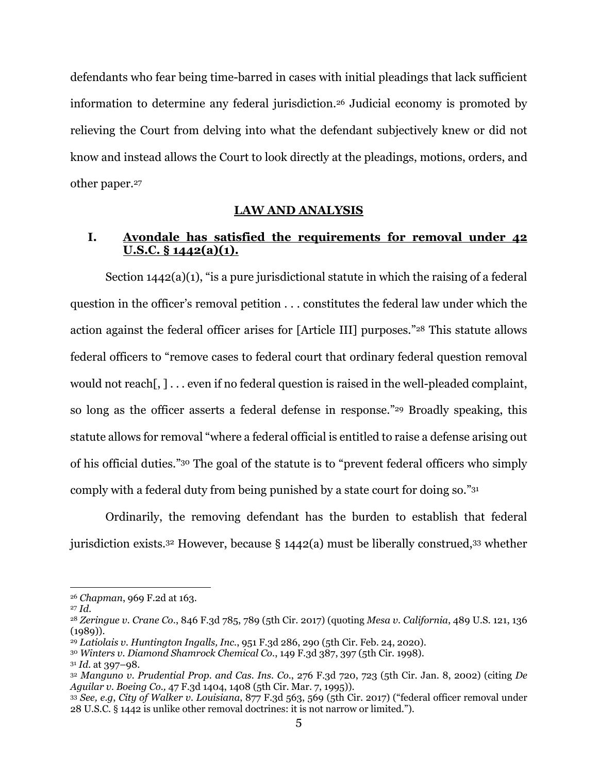defendants who fear being time-barred in cases with initial pleadings that lack sufficient information to determine any federal jurisdiction.26 Judicial economy is promoted by relieving the Court from delving into what the defendant subjectively knew or did not know and instead allows the Court to look directly at the pleadings, motions, orders, and other paper.27

### **LAW AND ANALYSIS**

# **I. Avondale has satisfied the requirements for removal under 42 U.S.C. § 1442(a)(1).**

Section 1442(a)(1), "is a pure jurisdictional statute in which the raising of a federal question in the officer's removal petition . . . constitutes the federal law under which the action against the federal officer arises for [Article III] purposes."28 This statute allows federal officers to "remove cases to federal court that ordinary federal question removal would not reach,  $] \ldots$  even if no federal question is raised in the well-pleaded complaint, so long as the officer asserts a federal defense in response."<sup>29</sup> Broadly speaking, this statute allows for removal "where a federal official is entitled to raise a defense arising out of his official duties."30 The goal of the statute is to "prevent federal officers who simply comply with a federal duty from being punished by a state court for doing so."31

 Ordinarily, the removing defendant has the burden to establish that federal jurisdiction exists.32 However, because § 1442(a) must be liberally construed,33 whether

<sup>26</sup> *Chapman*, 969 F.2d at 163.

<sup>27</sup> *Id*. 28 *Zeringue v. Crane Co*., 846 F.3d 785, 789 (5th Cir. 2017) (quoting *Mesa v. California*, 489 U.S. 121, 136  $(1989)$ .

<sup>29</sup> *Latiolais v. Huntington Ingalls, Inc.*, 951 F.3d 286, 290 (5th Cir. Feb. 24, 2020).

<sup>30</sup> *Winters v. Diamond Shamrock Chemical Co.*, 149 F.3d 387, 397 (5th Cir. 1998).

<sup>31</sup> *Id.* at 397–98.

<sup>32</sup> *Manguno v. Prudential Prop. and Cas. Ins. Co.*, 276 F.3d 720, 723 (5th Cir. Jan. 8, 2002) (citing *De Aguilar v. Boeing Co.,* 47 F.3d 1404, 1408 (5th Cir. Mar. 7, 1995)).

<sup>33</sup> *See, e.g*, *City of Walker v. Louisiana*, 877 F.3d 563, 569 (5th Cir. 2017) ("federal officer removal under 28 U.S.C. § 1442 is unlike other removal doctrines: it is not narrow or limited.").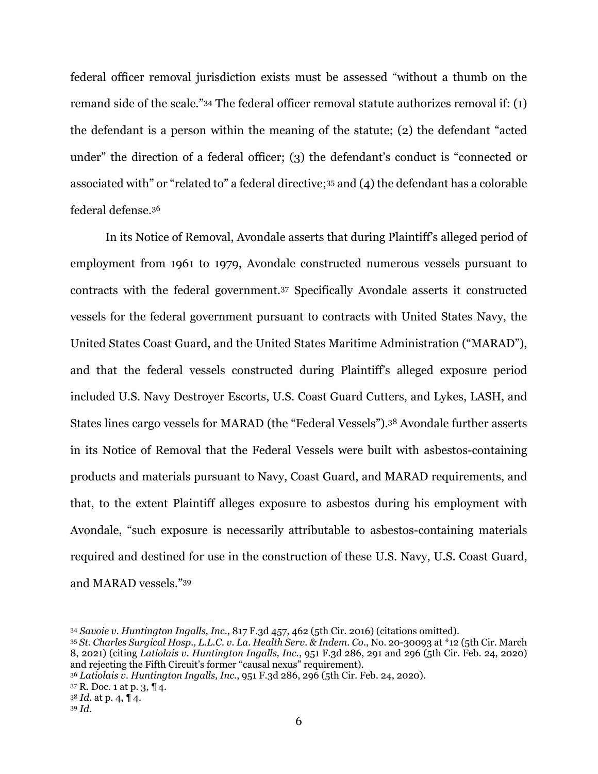federal officer removal jurisdiction exists must be assessed "without a thumb on the remand side of the scale."34 The federal officer removal statute authorizes removal if: (1) the defendant is a person within the meaning of the statute; (2) the defendant "acted under" the direction of a federal officer; (3) the defendant's conduct is "connected or associated with" or "related to" a federal directive;35 and (4) the defendant has a colorable federal defense.36

 In its Notice of Removal, Avondale asserts that during Plaintiff's alleged period of employment from 1961 to 1979, Avondale constructed numerous vessels pursuant to contracts with the federal government.37 Specifically Avondale asserts it constructed vessels for the federal government pursuant to contracts with United States Navy, the United States Coast Guard, and the United States Maritime Administration ("MARAD"), and that the federal vessels constructed during Plaintiff's alleged exposure period included U.S. Navy Destroyer Escorts, U.S. Coast Guard Cutters, and Lykes, LASH, and States lines cargo vessels for MARAD (the "Federal Vessels").38 Avondale further asserts in its Notice of Removal that the Federal Vessels were built with asbestos-containing products and materials pursuant to Navy, Coast Guard, and MARAD requirements, and that, to the extent Plaintiff alleges exposure to asbestos during his employment with Avondale, "such exposure is necessarily attributable to asbestos-containing materials required and destined for use in the construction of these U.S. Navy, U.S. Coast Guard, and MARAD vessels."39

37 R. Doc. 1 at p. 3, ¶ 4.

<sup>34</sup> *Savoie v. Huntington Ingalls, Inc*., 817 F.3d 457, 462 (5th Cir. 2016) (citations omitted).

<sup>35</sup> *St. Charles Surgical Hosp., L.L.C. v. La. Health Serv. & Indem. Co.*, No. 20-30093 at \*12 (5th Cir. March 8, 2021) (citing *Latiolais v. Huntington Ingalls, Inc.*, 951 F.3d 286, 291 and 296 (5th Cir. Feb. 24, 2020) and rejecting the Fifth Circuit's former "causal nexus" requirement).

<sup>36</sup> *Latiolais v. Huntington Ingalls, Inc.*, 951 F.3d 286, 296 (5th Cir. Feb. 24, 2020).

<sup>38</sup> *Id.* at p. 4, ¶ 4.

<sup>39</sup> *Id.*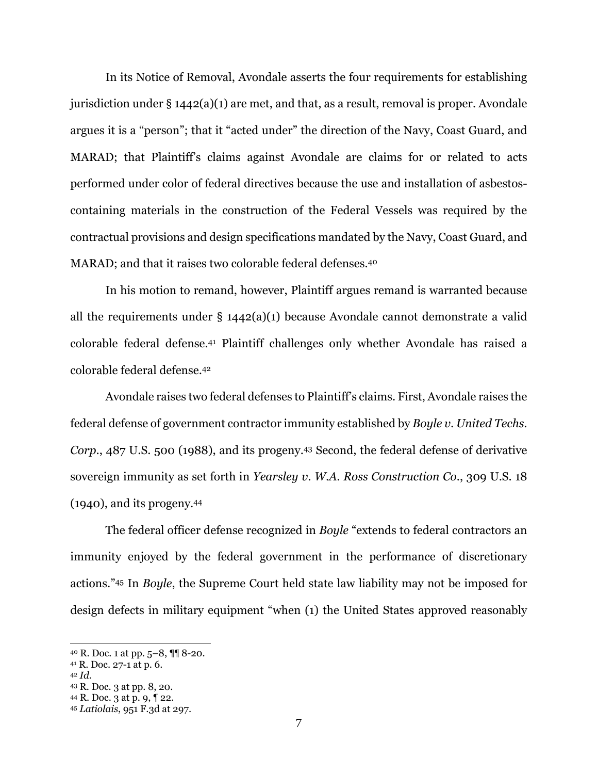In its Notice of Removal, Avondale asserts the four requirements for establishing jurisdiction under § 1442(a)(1) are met, and that, as a result, removal is proper. Avondale argues it is a "person"; that it "acted under" the direction of the Navy, Coast Guard, and MARAD; that Plaintiff's claims against Avondale are claims for or related to acts performed under color of federal directives because the use and installation of asbestoscontaining materials in the construction of the Federal Vessels was required by the contractual provisions and design specifications mandated by the Navy, Coast Guard, and MARAD; and that it raises two colorable federal defenses.40

In his motion to remand, however, Plaintiff argues remand is warranted because all the requirements under § 1442(a)(1) because Avondale cannot demonstrate a valid colorable federal defense.41 Plaintiff challenges only whether Avondale has raised a colorable federal defense.42

 Avondale raises two federal defenses to Plaintiff's claims. First, Avondale raises the federal defense of government contractor immunity established by *Boyle v. United Techs. Corp*., 487 U.S. 500 (1988), and its progeny.43 Second, the federal defense of derivative sovereign immunity as set forth in *Yearsley v. W.A. Ross Construction Co*., 309 U.S. 18 (1940), and its progeny.44

 The federal officer defense recognized in *Boyle* "extends to federal contractors an immunity enjoyed by the federal government in the performance of discretionary actions."45 In *Boyle*, the Supreme Court held state law liability may not be imposed for design defects in military equipment "when (1) the United States approved reasonably

<sup>40</sup> R. Doc. 1 at pp. 5–8, ¶¶ 8-20.

<sup>41</sup> R. Doc. 27-1 at p. 6.

<sup>42</sup> *Id.*

<sup>43</sup> R. Doc. 3 at pp. 8, 20.

<sup>44</sup> R. Doc. 3 at p. 9, ¶ 22.

<sup>45</sup> *Latiolais*, 951 F.3d at 297.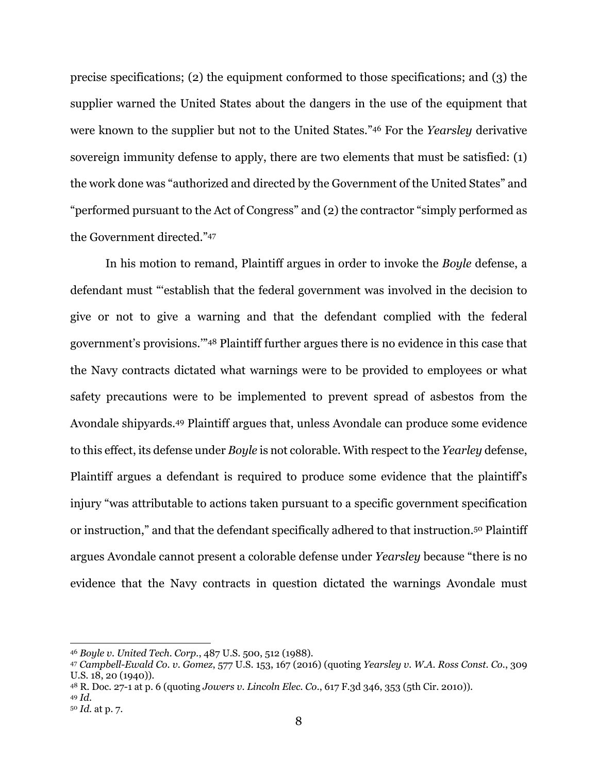precise specifications; (2) the equipment conformed to those specifications; and (3) the supplier warned the United States about the dangers in the use of the equipment that were known to the supplier but not to the United States."46 For the *Yearsley* derivative sovereign immunity defense to apply, there are two elements that must be satisfied: (1) the work done was "authorized and directed by the Government of the United States" and "performed pursuant to the Act of Congress" and (2) the contractor "simply performed as the Government directed."47

 In his motion to remand, Plaintiff argues in order to invoke the *Boyle* defense, a defendant must "'establish that the federal government was involved in the decision to give or not to give a warning and that the defendant complied with the federal government's provisions.'"48 Plaintiff further argues there is no evidence in this case that the Navy contracts dictated what warnings were to be provided to employees or what safety precautions were to be implemented to prevent spread of asbestos from the Avondale shipyards.49 Plaintiff argues that, unless Avondale can produce some evidence to this effect, its defense under *Boyle* is not colorable. With respect to the *Yearley* defense, Plaintiff argues a defendant is required to produce some evidence that the plaintiff's injury "was attributable to actions taken pursuant to a specific government specification or instruction," and that the defendant specifically adhered to that instruction.50 Plaintiff argues Avondale cannot present a colorable defense under *Yearsley* because "there is no evidence that the Navy contracts in question dictated the warnings Avondale must

<sup>46</sup> *Boyle v. United Tech. Corp.*, 487 U.S. 500, 512 (1988).

<sup>47</sup> *Campbell-Ewald Co. v. Gomez*, 577 U.S. 153, 167 (2016) (quoting *Yearsley v. W.A. Ross Const. Co.*, 309 U.S. 18, 20 (1940)).

<sup>48</sup> R. Doc. 27-1 at p. 6 (quoting *Jowers v. Lincoln Elec. Co*., 617 F.3d 346, 353 (5th Cir. 2010)).

<sup>49</sup> *Id.*

<sup>50</sup> *Id.* at p. 7.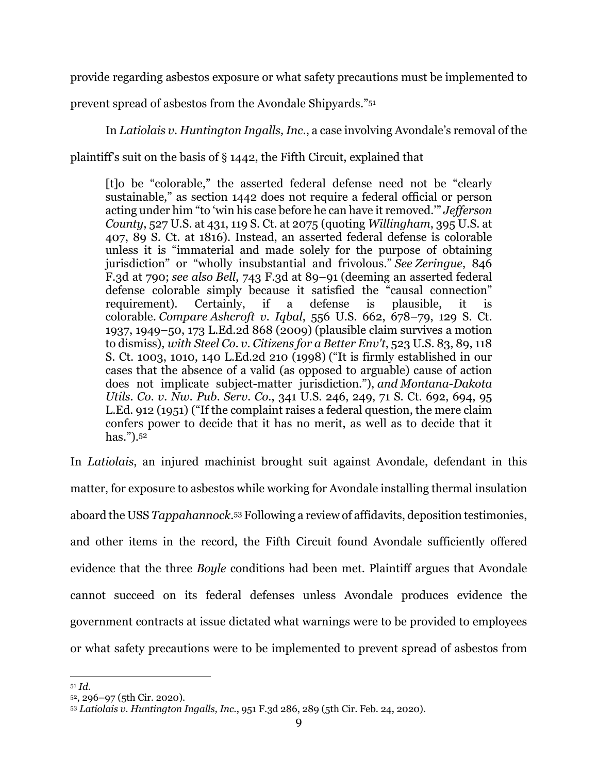provide regarding asbestos exposure or what safety precautions must be implemented to

prevent spread of asbestos from the Avondale Shipyards."51

In *Latiolais v. Huntington Ingalls, Inc*., a case involving Avondale's removal of the

plaintiff's suit on the basis of § 1442, the Fifth Circuit, explained that

[t]o be "colorable," the asserted federal defense need not be "clearly sustainable," as section 1442 does not require a federal official or person acting under him "to 'win his case before he can have it removed.'" *Jefferson County*, 527 U.S. at 431, 119 S. Ct. at 2075 (quoting *Willingham*, 395 U.S. at 407, 89 S. Ct. at 1816). Instead, an asserted federal defense is colorable unless it is "immaterial and made solely for the purpose of obtaining jurisdiction" or "wholly insubstantial and frivolous." *See Zeringue*, 846 F.3d at 790; *see also Bell*, 743 F.3d at 89–91 (deeming an asserted federal defense colorable simply because it satisfied the "causal connection" requirement). Certainly, if a defense is plausible, it is colorable. *Compare Ashcroft v. Iqbal*, 556 U.S. 662, 678–79, 129 S. Ct. 1937, 1949–50, 173 L.Ed.2d 868 (2009) (plausible claim survives a motion to dismiss), *with Steel Co. v. Citizens for a Better Env't*, 523 U.S. 83, 89, 118 S. Ct. 1003, 1010, 140 L.Ed.2d 210 (1998) ("It is firmly established in our cases that the absence of a valid (as opposed to arguable) cause of action does not implicate subject-matter jurisdiction."), *and Montana-Dakota Utils. Co. v. Nw. Pub. Serv. Co.*, 341 U.S. 246, 249, 71 S. Ct. 692, 694, 95 L.Ed. 912 (1951) ("If the complaint raises a federal question, the mere claim confers power to decide that it has no merit, as well as to decide that it has.").52

In *Latiolais*, an injured machinist brought suit against Avondale, defendant in this matter, for exposure to asbestos while working for Avondale installing thermal insulation aboard the USS *Tappahannock*.53 Following a review of affidavits, deposition testimonies, and other items in the record, the Fifth Circuit found Avondale sufficiently offered evidence that the three *Boyle* conditions had been met. Plaintiff argues that Avondale cannot succeed on its federal defenses unless Avondale produces evidence the government contracts at issue dictated what warnings were to be provided to employees or what safety precautions were to be implemented to prevent spread of asbestos from

<sup>51</sup> *Id.*

<sup>52, 296–97 (5</sup>th Cir. 2020).

<sup>53</sup> *Latiolais v. Huntington Ingalls, Inc.*, 951 F.3d 286, 289 (5th Cir. Feb. 24, 2020).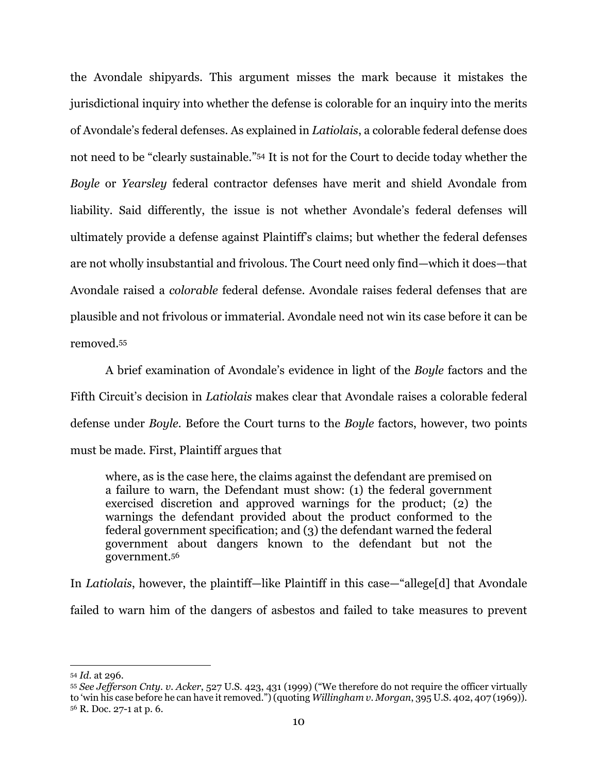the Avondale shipyards. This argument misses the mark because it mistakes the jurisdictional inquiry into whether the defense is colorable for an inquiry into the merits of Avondale's federal defenses. As explained in *Latiolais*, a colorable federal defense does not need to be "clearly sustainable."54 It is not for the Court to decide today whether the *Boyle* or *Yearsley* federal contractor defenses have merit and shield Avondale from liability. Said differently, the issue is not whether Avondale's federal defenses will ultimately provide a defense against Plaintiff's claims; but whether the federal defenses are not wholly insubstantial and frivolous. The Court need only find—which it does—that Avondale raised a *colorable* federal defense. Avondale raises federal defenses that are plausible and not frivolous or immaterial. Avondale need not win its case before it can be removed.55

 A brief examination of Avondale's evidence in light of the *Boyle* factors and the Fifth Circuit's decision in *Latiolais* makes clear that Avondale raises a colorable federal defense under *Boyle.* Before the Court turns to the *Boyle* factors, however, two points must be made. First, Plaintiff argues that

where, as is the case here, the claims against the defendant are premised on a failure to warn, the Defendant must show: (1) the federal government exercised discretion and approved warnings for the product; (2) the warnings the defendant provided about the product conformed to the federal government specification; and (3) the defendant warned the federal government about dangers known to the defendant but not the government.56

In *Latiolais*, however, the plaintiff—like Plaintiff in this case—"allege[d] that Avondale failed to warn him of the dangers of asbestos and failed to take measures to prevent

<sup>54</sup> *Id.* at 296.

<sup>55</sup> *See Jefferson Cnty. v. Acker*, 527 U.S. 423, 431 (1999) ("We therefore do not require the officer virtually to 'win his case before he can have it removed.") (quoting *Willingham v. Morgan*, 395 U.S. 402, 407 (1969)). 56 R. Doc. 27-1 at p. 6.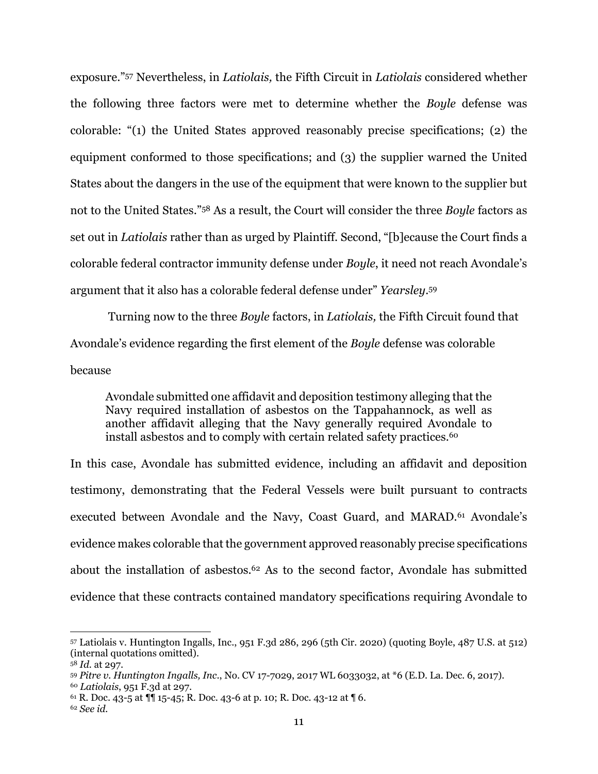exposure."57 Nevertheless, in *Latiolais,* the Fifth Circuit in *Latiolais* considered whether the following three factors were met to determine whether the *Boyle* defense was colorable: "(1) the United States approved reasonably precise specifications; (2) the equipment conformed to those specifications; and (3) the supplier warned the United States about the dangers in the use of the equipment that were known to the supplier but not to the United States."58 As a result, the Court will consider the three *Boyle* factors as set out in *Latiolais* rather than as urged by Plaintiff. Second, "[b]ecause the Court finds a colorable federal contractor immunity defense under *Boyle*, it need not reach Avondale's argument that it also has a colorable federal defense under" *Yearsley*.59

Turning now to the three *Boyle* factors, in *Latiolais,* the Fifth Circuit found that Avondale's evidence regarding the first element of the *Boyle* defense was colorable because

Avondale submitted one affidavit and deposition testimony alleging that the Navy required installation of asbestos on the Tappahannock, as well as another affidavit alleging that the Navy generally required Avondale to install asbestos and to comply with certain related safety practices.<sup>60</sup>

In this case, Avondale has submitted evidence, including an affidavit and deposition testimony, demonstrating that the Federal Vessels were built pursuant to contracts executed between Avondale and the Navy, Coast Guard, and MARAD.<sup>61</sup> Avondale's evidence makes colorable that the government approved reasonably precise specifications about the installation of asbestos.62 As to the second factor, Avondale has submitted evidence that these contracts contained mandatory specifications requiring Avondale to

<sup>57</sup> Latiolais v. Huntington Ingalls, Inc., 951 F.3d 286, 296 (5th Cir. 2020) (quoting Boyle, 487 U.S. at 512) (internal quotations omitted).

<sup>58</sup> *Id.* at 297.

<sup>59</sup> *Pitre v. Huntington Ingalls, Inc*., No. CV 17-7029, 2017 WL 6033032, at \*6 (E.D. La. Dec. 6, 2017). <sup>60</sup> *Latiolais*, 951 F.3d at 297.

 $61$  R. Doc. 43-5 at  $\P\P$  15-45; R. Doc. 43-6 at p. 10; R. Doc. 43-12 at  $\P$  6.

<sup>62</sup> *See id.*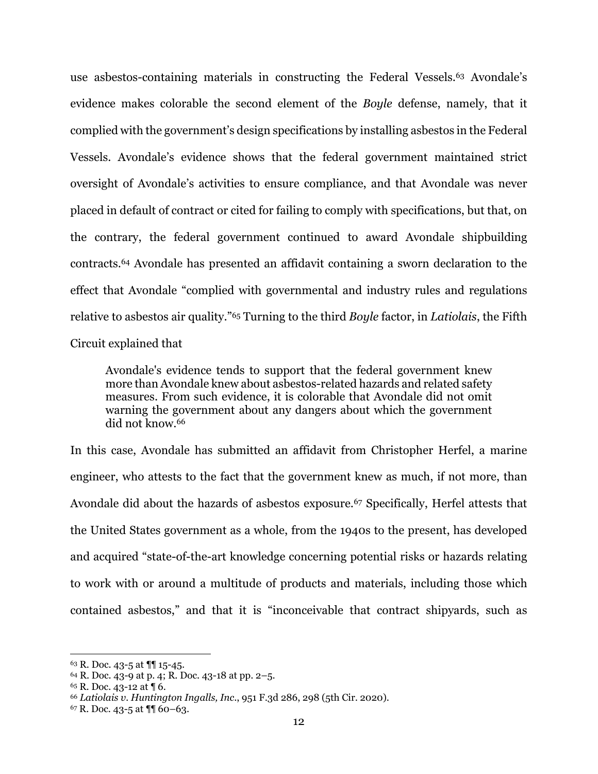use asbestos-containing materials in constructing the Federal Vessels.<sup>63</sup> Avondale's evidence makes colorable the second element of the *Boyle* defense, namely, that it complied with the government's design specifications by installing asbestos in the Federal Vessels. Avondale's evidence shows that the federal government maintained strict oversight of Avondale's activities to ensure compliance, and that Avondale was never placed in default of contract or cited for failing to comply with specifications, but that, on the contrary, the federal government continued to award Avondale shipbuilding contracts.64 Avondale has presented an affidavit containing a sworn declaration to the effect that Avondale "complied with governmental and industry rules and regulations relative to asbestos air quality."65 Turning to the third *Boyle* factor, in *Latiolais*, the Fifth Circuit explained that

Avondale's evidence tends to support that the federal government knew more than Avondale knew about asbestos-related hazards and related safety measures. From such evidence, it is colorable that Avondale did not omit warning the government about any dangers about which the government did not know.66

In this case, Avondale has submitted an affidavit from Christopher Herfel, a marine engineer, who attests to the fact that the government knew as much, if not more, than Avondale did about the hazards of asbestos exposure.<sup>67</sup> Specifically, Herfel attests that the United States government as a whole, from the 1940s to the present, has developed and acquired "state-of-the-art knowledge concerning potential risks or hazards relating to work with or around a multitude of products and materials, including those which contained asbestos," and that it is "inconceivable that contract shipyards, such as

<sup>63</sup> R. Doc. 43-5 at ¶¶ 15-45.

 $64$  R. Doc. 43-9 at p. 4; R. Doc. 43-18 at pp. 2–5.

<sup>65</sup> R. Doc. 43-12 at ¶ 6.

<sup>66</sup> *Latiolais v. Huntington Ingalls, Inc*., 951 F.3d 286, 298 (5th Cir. 2020).

 $67$  R. Doc. 43-5 at  $\P\P$  60-63.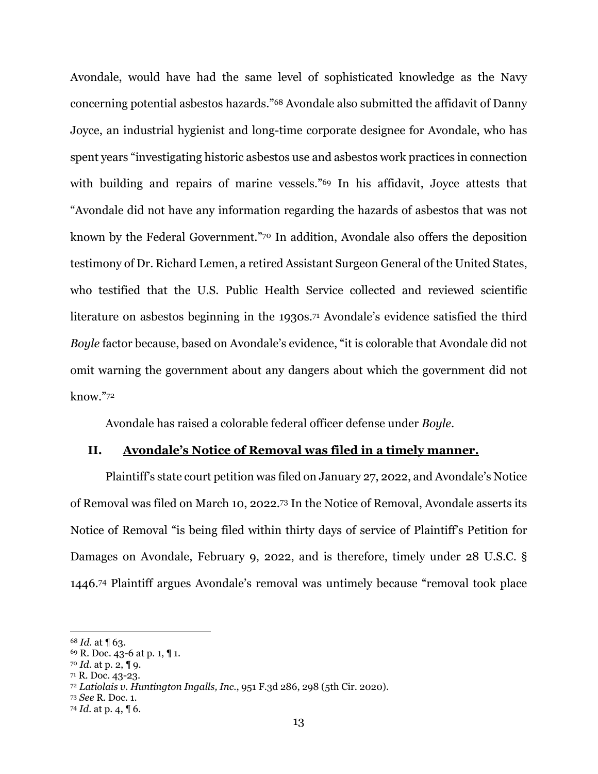Avondale, would have had the same level of sophisticated knowledge as the Navy concerning potential asbestos hazards."68 Avondale also submitted the affidavit of Danny Joyce, an industrial hygienist and long-time corporate designee for Avondale, who has spent years "investigating historic asbestos use and asbestos work practices in connection with building and repairs of marine vessels."<sup>69</sup> In his affidavit, Joyce attests that "Avondale did not have any information regarding the hazards of asbestos that was not known by the Federal Government."70 In addition, Avondale also offers the deposition testimony of Dr. Richard Lemen, a retired Assistant Surgeon General of the United States, who testified that the U.S. Public Health Service collected and reviewed scientific literature on asbestos beginning in the 1930s.<sup>71</sup> Avondale's evidence satisfied the third *Boyle* factor because, based on Avondale's evidence, "it is colorable that Avondale did not omit warning the government about any dangers about which the government did not know."72

Avondale has raised a colorable federal officer defense under *Boyle*.

# **II. Avondale's Notice of Removal was filed in a timely manner.**

Plaintiff's state court petition was filed on January 27, 2022, and Avondale's Notice of Removal was filed on March 10, 2022.73 In the Notice of Removal, Avondale asserts its Notice of Removal "is being filed within thirty days of service of Plaintiff's Petition for Damages on Avondale, February 9, 2022, and is therefore, timely under 28 U.S.C. § 1446.74 Plaintiff argues Avondale's removal was untimely because "removal took place

<sup>68</sup> *Id.* at ¶ 63.

<sup>69</sup> R. Doc. 43-6 at p. 1, ¶ 1.

<sup>70</sup> *Id.* at p. 2, ¶ 9.

<sup>71</sup> R. Doc. 43-23.

<sup>72</sup> *Latiolais v. Huntington Ingalls, Inc*., 951 F.3d 286, 298 (5th Cir. 2020).

<sup>73</sup> *See* R. Doc. 1.

<sup>74</sup> *Id.* at p. 4, ¶ 6.